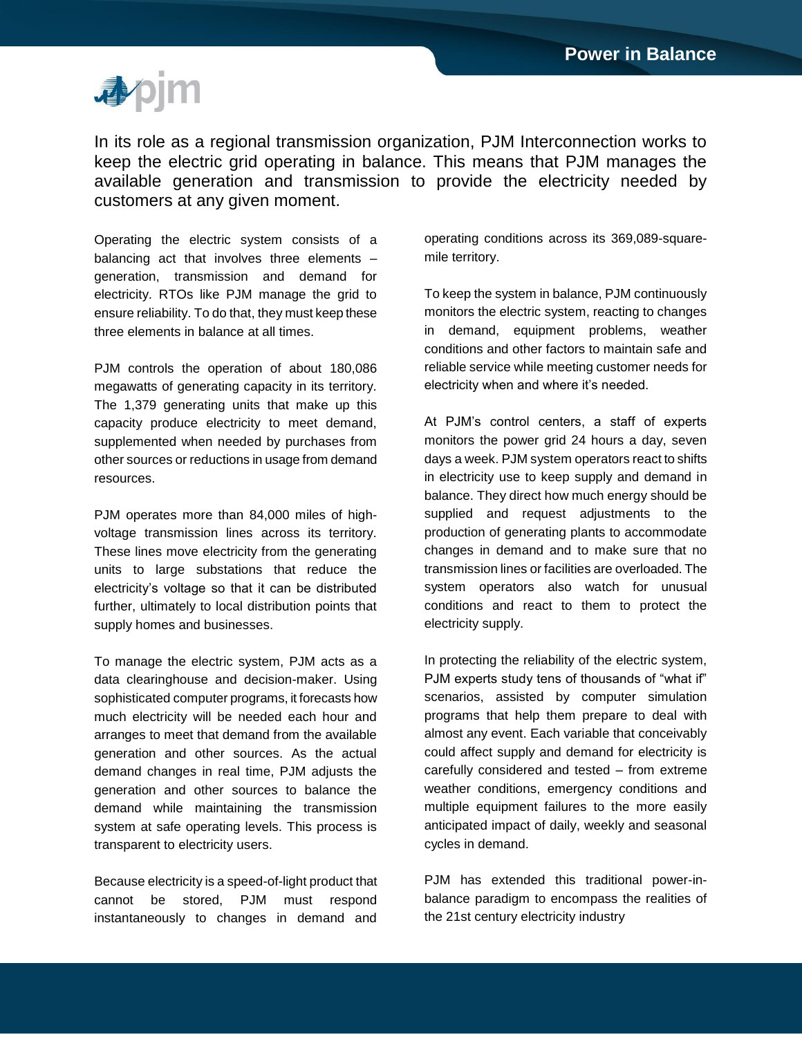

In its role as a regional transmission organization, PJM Interconnection works to keep the electric grid operating in balance. This means that PJM manages the available generation and transmission to provide the electricity needed by customers at any given moment.

Operating the electric system consists of a balancing act that involves three elements – generation, transmission and demand for electricity. RTOs like PJM manage the grid to ensure reliability. To do that, they must keep these three elements in balance at all times.

PJM controls the operation of about 180,086 megawatts of generating capacity in its territory. The 1,379 generating units that make up this capacity produce electricity to meet demand, supplemented when needed by purchases from other sources or reductions in usage from demand resources.

PJM operates more than 84,000 miles of highvoltage transmission lines across its territory. These lines move electricity from the generating units to large substations that reduce the electricity's voltage so that it can be distributed further, ultimately to local distribution points that supply homes and businesses.

To manage the electric system, PJM acts as a data clearinghouse and decision-maker. Using sophisticated computer programs, it forecasts how much electricity will be needed each hour and arranges to meet that demand from the available generation and other sources. As the actual demand changes in real time, PJM adjusts the generation and other sources to balance the demand while maintaining the transmission system at safe operating levels. This process is transparent to electricity users.

Because electricity is a speed-of-light product that cannot be stored, PJM must respond instantaneously to changes in demand and

operating conditions across its 369,089-squaremile territory.

To keep the system in balance, PJM continuously monitors the electric system, reacting to changes in demand, equipment problems, weather conditions and other factors to maintain safe and reliable service while meeting customer needs for electricity when and where it's needed.

At PJM's control centers, a staff of experts monitors the power grid 24 hours a day, seven days a week. PJM system operators react to shifts in electricity use to keep supply and demand in balance. They direct how much energy should be supplied and request adjustments to the production of generating plants to accommodate changes in demand and to make sure that no transmission lines or facilities are overloaded. The system operators also watch for unusual conditions and react to them to protect the electricity supply.

In protecting the reliability of the electric system, PJM experts study tens of thousands of "what if" scenarios, assisted by computer simulation programs that help them prepare to deal with almost any event. Each variable that conceivably could affect supply and demand for electricity is carefully considered and tested – from extreme weather conditions, emergency conditions and multiple equipment failures to the more easily anticipated impact of daily, weekly and seasonal cycles in demand.

PJM has extended this traditional power-inbalance paradigm to encompass the realities of the 21st century electricity industry